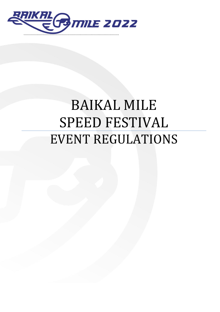

# BAIKAL MILE SPEED FESTIVAL EVENT REGULATIONS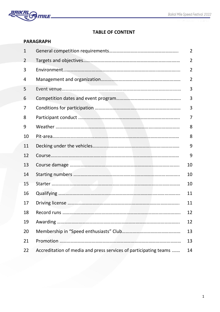

# **TABLE OF CONTENT**

|                | <b>PARAGRAPH</b>                                                 |                |
|----------------|------------------------------------------------------------------|----------------|
| $\mathbf 1$    |                                                                  | $\overline{2}$ |
| $\overline{2}$ |                                                                  | $\overline{2}$ |
| 3              |                                                                  | $\overline{2}$ |
| 4              |                                                                  | $\overline{2}$ |
| 5              |                                                                  | 3              |
| 6              |                                                                  | 3              |
| 7              |                                                                  | 3              |
| 8              |                                                                  | 7              |
| 9              |                                                                  | 8              |
| 10             |                                                                  | 8              |
| 11             |                                                                  | 9              |
| 12             |                                                                  | 9              |
| 13             |                                                                  | 10             |
| 14             |                                                                  | 10             |
| 15             |                                                                  | 10             |
| 16             |                                                                  | 11             |
| 17             |                                                                  | 11             |
| 18             |                                                                  | 12             |
| 19             |                                                                  | 12             |
| 20             |                                                                  | 13             |
| 21             |                                                                  | 13             |
| 22             | Accreditation of media and press services of participating teams | 14             |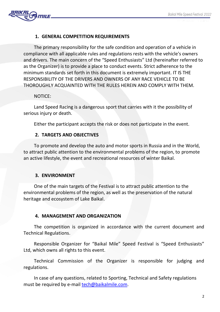

# **1. GENERAL COMPETITION REQUIREMENTS**

The primary responsibility for the safe condition and operation of a vehicle in compliance with all applicable rules and regulations rests with the vehicle's owners and drivers. The main concern of the "Speed Enthusiasts" Ltd (hereinafter referred to as the Organizer) is to provide a place to conduct events. Strict adherence to the minimum standards set forth in this document is extremely important. IT IS THE RESPONSIBILITY OF THE DRIVERS AND OWNERS OF ANY RACE VEHICLE TO BE THOROUGHLY ACQUAINTED WITH THE RULES HEREIN AND COMPLY WITH THEM.

## NOTICE:

Land Speed Racing is a dangerous sport that carries with it the possibility of serious injury or death.

Either the participant accepts the risk or does not participate in the event.

## **2. TARGETS AND OBJECTIVES**

To promote and develop the auto and motor sports in Russia and in the World, to attract public attention to the environmental problems of the region, to promote an active lifestyle, the event and recreational resources of winter Baikal.

## **3. ENVIRONMENT**

One of the main targets of the Festival is to attract public attention to the environmental problems of the region, as well as the preservation of the natural heritage and ecosystem of Lake Baikal.

## **4. MANAGEMENT AND ORGANIZATION**

The competition is organized in accordance with the current document and Technical Regulations.

Responsible Organizer for "Baikal Mile" Speed Festival is "Speed Enthusiasts" Ltd, which owns all rights to this event.

Technical Commission of the Organizer is responsible for judging and regulations.

In case of any questions, related to Sporting, Technical and Safety regulations must be required by e-mail tech@baikalmile.com.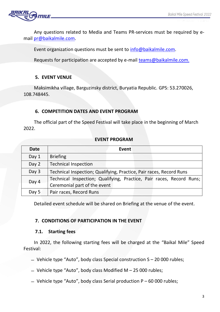

Any questions related to Media and Teams PR-services must be required by email [pr@baikalmile.com.](mailto:pr@baikalmile.com)

Event organization questions must be sent to [info@baikalmile.com.](mailto:info@baikalmile.com)

Requests for participation are accepted by e-mail [teams@baikalmile.com.](mailto:teams@baikalmile.com)

## **5. EVENT VENUE**

Maksimikha village, Barguzinsky district, Buryatia Republic. GPS: 53.270026, 108.748445.

## **6. COMPETITION DATES AND EVENT PROGRAM**

The official part of the Speed Festival will take place in the beginning of March 2022.

## **EVENT PROGRAM**

| <b>Date</b> | Event                                                                                                |  |  |  |
|-------------|------------------------------------------------------------------------------------------------------|--|--|--|
| Day $1$     | <b>Briefing</b>                                                                                      |  |  |  |
| Day 2       | <b>Technical Inspection</b>                                                                          |  |  |  |
| Day 3       | Technical Inspection; Qualifying, Practice, Pair races, Record Runs                                  |  |  |  |
| Day 4       | Technical Inspection; Qualifying, Practice, Pair races, Record Runs;<br>Ceremonial part of the event |  |  |  |
| Day 5       | Pair races, Record Runs                                                                              |  |  |  |

Detailed event schedule will be shared on Briefing at the venue of the event.

## **7. CONDITIONS OF PARTICIPATION IN THE EVENT**

## **7.1. Starting fees**

In 2022, the following starting fees will be charged at the "Baikal Mile" Speed Festival:

- $-$  Vehicle type "Auto", body class Special construction  $S 20000$  rubles;
- $-$  Vehicle type "Auto", body class Modified M  $-$  25 000 rubles;
- $-$  Vehicle type "Auto", body class Serial production P 60 000 rubles;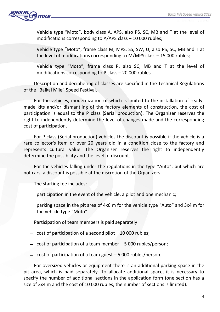

- ̶ Vehicle type "Moto", body class A, APS, also PS, SC, MB and T at the level of modifications corresponding to A/APS class – 10 000 rubles;
- ̶ Vehicle type "Moto", frame class M, MPS, SS, SW, U, also PS, SC, MB and T at the level of modifications corresponding to M/MPS class – 15 000 rubles;
- ̶ Vehicle type "Moto", frame class P, also SC, MB and T at the level of modifications corresponding to P class – 20 000 rubles.

Description and deciphering of classes are specified in the Technical Regulations of the "Baikal Mile" Speed Festival.

For the vehicles, modernization of which is limited to the installation of readymade kits and/or dismantling of the factory elements of construction, the cost of participation is equal to the P class (Serial production). The Organizer reserves the right to independently determine the level of changes made and the corresponding cost of participation.

For P class (Serial production) vehicles the discount is possible if the vehicle is a rare collector's item or over 20 years old in a condition close to the factory and represents cultural value. The Organizer reserves the right to independently determine the possibility and the level of discount.

For the vehicles falling under the regulations in the type "Auto", but which are not cars, a discount is possible at the discretion of the Organizers.

The starting fee includes:

- ̶ participation in the event of the vehicle, a pilot and one mechanic;
- ̶ parking space in the pit area of 4x6 m for the vehicle type "Auto" and 3x4 m for the vehicle type "Moto".

Participation of team members is paid separately:

- $-$  cost of participation of a second pilot  $-10000$  rubles;
- ̶ cost of participation of a team member 5 000 rubles/person;
- $-$  cost of participation of a team guest  $-5000$  rubles/person.

For oversized vehicles or equipment there is an additional parking space in the pit area, which is paid separately. To allocate additional space, it is necessary to specify the number of additional sections in the application form (one section has a size of 3x4 m and the cost of 10 000 rubles, the number of sections is limited).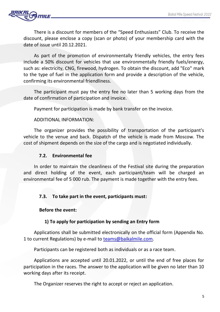

There is a discount for members of the "Speed Enthusiasts" Club. To receive the discount, please enclose a copy (scan or photo) of your membership card with the date of issue until 20.12.2021.

As part of the promotion of environmentally friendly vehicles, the entry fees include a 50% discount for vehicles that use environmentally friendly fuels/energy, such as: electricity, CNG, firewood, hydrogen. To obtain the discount, add "Eco" mark to the type of fuel in the application form and provide a description of the vehicle, confirming its environmental friendliness.

The participant must pay the entry fee no later than 5 working days from the date of confirmation of participation and invoice.

Payment for participation is made by bank transfer on the invoice.

#### ADDITIONAL INFORMATION:

The organizer provides the possibility of transportation of the participant's vehicle to the venue and back. Dispatch of the vehicle is made from Moscow. The cost of shipment depends on the size of the cargo and is negotiated individually.

### **7.2. Environmental fee**

In order to maintain the cleanliness of the Festival site during the preparation and direct holding of the event, each participant/team will be charged an environmental fee of 5 000 rub. The payment is made together with the entry fees.

## **7.3. To take part in the event, participants must:**

#### **Before the event:**

## **1) To apply for participation by sending an Entry form**

Applications shall be submitted electronically on the official form (Appendix No. 1 to current Regulations) by e-mail to [teams@baikalmile.com.](mailto:teams@baikalmile.com)

Participants can be registered both as individuals or as a race team.

Applications are accepted until 20.01.2022, or until the end of free places for participation in the races. The answer to the application will be given no later than 10 working days after its receipt.

The Organizer reserves the right to accept or reject an application.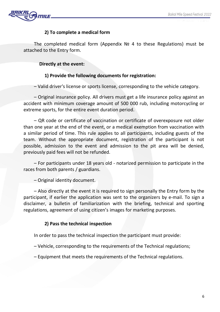

# **2) To complete a medical form**

The completed medical form (Appendix № 4 to these Regulations) must be attached to the Entry form.

## **Directly at the event:**

## **1) Provide the following documents for registration:**

– Valid driver's license or sports license, corresponding to the vehicle category.

– Original insurance policy. All drivers must get a life insurance policy against an accident with minimum coverage amount of 500 000 rub, including motorcycling or extreme sports, for the entire event duration period.

– QR code or certificate of vaccination or certificate of overexposure not older than one year at the end of the event, or a medical exemption from vaccination with a similar period of time. This rule applies to all participants, including guests of the team. Without the appropriate document, registration of the participant is not possible, admission to the event and admission to the pit area will be denied, previously paid fees will not be refunded.

– For participants under 18 years old - notarized permission to participate in the races from both parents / guardians.

– Original identity document.

– Also directly at the event it is required to sign personally the Entry form by the participant, if earlier the application was sent to the organizers by e-mail. To sign a disclaimer, a bulletin of familiarization with the briefing, technical and sporting regulations, agreement of using citizen's images for marketing purposes.

## **2) Pass the technical inspection**

In order to pass the technical inspection the participant must provide:

– Vehicle, corresponding to the requirements of the Technical regulations;

– Equipment that meets the requirements of the Technical regulations.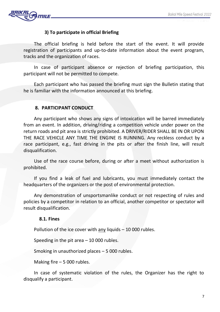

## **3) To participate in official Briefing**

The official briefing is held before the start of the event. It will provide registration of participants and up-to-date information about the event program, tracks and the organization of races.

In case of participant absence or rejection of briefing participation, this participant will not be permitted to compete.

Each participant who has passed the briefing must sign the Bulletin stating that he is familiar with the information announced at this briefing.

## **8. PARTICIPANT CONDUCT**

Any participant who shows any signs of intoxication will be barred immediately from an event. In addition, driving/riding a competition vehicle under power on the return roads and pit area is strictly prohibited. A DRIVER/RIDER SHALL BE IN OR UPON THE RACE VEHICLE ANY TIME THE ENGINE IS RUNNING. Any reckless conduct by a race participant, e.g., fast driving in the pits or after the finish line, will result disqualification.

Use of the race course before, during or after a meet without authorization is prohibited.

If you find a leak of fuel and lubricants, you must immediately contact the headquarters of the organizers or the post of environmental protection.

Any demonstration of unsportsmanlike conduct or not respecting of rules and policies by a competitor in relation to an official, another competitor or spectator will result disqualification.

#### **8.1. Fines**

Pollution of the ice cover with any liquids – 10 000 rubles.

Speeding in the pit area  $-10000$  rubles.

Smoking in unauthorized places – 5 000 rubles.

Making fire – 5 000 rubles.

In case of systematic violation of the rules, the Organizer has the right to disqualify a participant.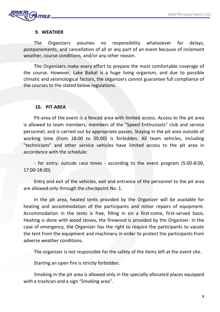

## **9. WEATHER**

The Organizers assumes no responsibility whatsoever for delays, postponements, and cancellation of all or any part of an event because of inclement weather, course conditions, and/or any other reason.

The Organizers make every effort to prepare the most comfortable coverage of the course. However, Lake Baikal is a huge living organism, and due to possible climatic and seismological factors, the organizers cannot guarantee full compliance of the courses to the stated below regulations.

#### **10. PIT-AREA**

Pit-area of the event is a fenced area with limited access. Access to the pit area is allowed to team members, members of the "Speed Enthusiasts" club and service personnel, and is carried out by appropriate passes. Staying in the pit area outside of working time (from 18:00 to 05:00) is forbidden. All team vehicles, including "technicians" and other service vehicles have limited access to the pit area in accordance with the schedule:

- for entry: outside race times - according to the event program (5:00-8:00, 17:00-18:00).

Entry and exit of the vehicles, exit and entrance of the personnel to the pit area are allowed only through the checkpoint No. 1.

In the pit area, heated tents provided by the Organizer will be available for heating and accommodation of the participants and minor repairs of equipment. Accommodation in the tents is free, filling in on a first-come, first-served basis. Heating is done with wood stoves, the firewood is provided by the Organizer. In the case of emergency, the Organizer has the right to require the participants to vacate the tent from the equipment and machinery in order to protect the participants from adverse weather conditions.

The organizer is not responsible for the safety of the items left at the event site.

Starting an open fire is strictly forbidden.

Smoking in the pit area is allowed only in the specially allocated places equipped with a trashcan and a sign "Smoking area".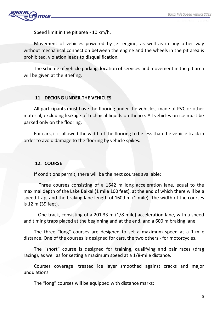

Speed limit in the pit area - 10 km/h.

Movement of vehicles powered by jet engine, as well as in any other way without mechanical connection between the engine and the wheels in the pit area is prohibited, violation leads to disqualification.

The scheme of vehicle parking, location of services and movement in the pit area will be given at the Briefing.

## **11. DECKING UNDER THE VEHICLES**

All participants must have the flooring under the vehicles, made of PVC or other material, excluding leakage of technical liquids on the ice. All vehicles on ice must be parked only on the flooring.

For cars, it is allowed the width of the flooring to be less than the vehicle track in order to avoid damage to the flooring by vehicle spikes.

## **12. COURSE**

If conditions permit, there will be the next courses available:

– Three courses consisting of a 1642 m long acceleration lane, equal to the maximal depth of the Lake Baikal (1 mile 100 feet), at the end of which there will be a speed trap, and the braking lane length of 1609 m (1 mile). The width of the courses is 12 m (39 feet).

– One track, consisting of a 201.33 m (1/8 mile) acceleration lane, with a speed and timing traps placed at the beginning and at the end, and a 600 m braking lane.

The three "long" courses are designed to set a maximum speed at a 1-mile distance. One of the courses is designed for cars, the two others - for motorcycles.

The "short" course is designed for training, qualifying and pair races (drag racing), as well as for setting a maximum speed at a 1/8-mile distance.

Courses coverage: treated ice layer smoothed against cracks and major undulations.

The "long" courses will be equipped with distance marks: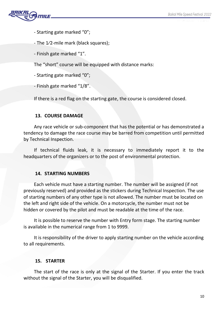

- Starting gate marked "0";
- The 1⁄2-mile mark (black squares);
- Finish gate marked "1".

The "short" course will be equipped with distance marks:

- Starting gate marked "0";

- Finish gate marked "1/8".

If there is a red flag on the starting gate, the course is considered closed.

## **13. COURSE DAMAGE**

Any race vehicle or sub-component that has the potential or has demonstrated a tendency to damage the race course may be barred from competition until permitted by Technical Inspection.

If technical fluids leak, it is necessary to immediately report it to the headquarters of the organizers or to the post of environmental protection.

## **14. STARTING NUMBERS**

Each vehicle must have a starting number. The number will be assigned (if not previously reserved) and provided as the stickers during Technical Inspection. The use of starting numbers of any other type is not allowed. The number must be located on the left and right side of the vehicle. On a motorcycle, the number must not be hidden or covered by the pilot and must be readable at the time of the race.

It is possible to reserve the number with Entry form stage. The starting number is available in the numerical range from 1 to 9999.

It is responsibility of the driver to apply starting number on the vehicle according to all requirements.

# **15. STARTER**

The start of the race is only at the signal of the Starter. If you enter the track without the signal of the Starter, you will be disqualified.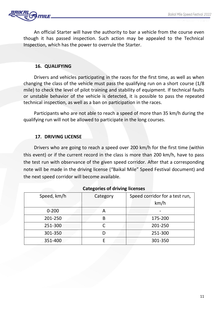

An official Starter will have the authority to bar a vehicle from the course even though it has passed inspection. Such action may be appealed to the Technical Inspection, which has the power to overrule the Starter.

#### **16. QUALIFYING**

Drivers and vehicles participating in the races for the first time, as well as when changing the class of the vehicle must pass the qualifying run on a short course (1/8 mile) to check the level of pilot training and stability of equipment. If technical faults or unstable behavior of the vehicle is detected, it is possible to pass the repeated technical inspection, as well as a ban on participation in the races.

Participants who are not able to reach a speed of more than 35 km/h during the qualifying run will not be allowed to participate in the long courses.

#### **17. DRIVING LICENSE**

Drivers who are going to reach a speed over 200 km/h for the first time (within this event) or if the current record in the class is more than 200 km/h, have to pass the test run with observance of the given speed corridor. After that a corresponding note will be made in the driving license ("Baikal Mile" Speed Festival document) and the next speed corridor will become available.

| ັ           |          |                                |  |  |
|-------------|----------|--------------------------------|--|--|
| Speed, km/h | Category | Speed corridor for a test run, |  |  |
|             |          | km/h                           |  |  |
| $0 - 200$   |          |                                |  |  |
| 201-250     | B        | 175-200                        |  |  |
| 251-300     |          | 201-250                        |  |  |
| 301-350     |          | 251-300                        |  |  |
| 351-400     |          | 301-350                        |  |  |

#### **Categories of driving licenses**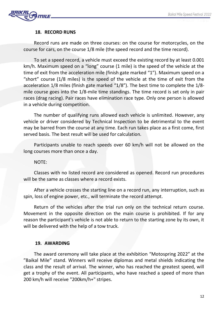

#### **18. RECORD RUNS**

Record runs are made on three courses: on the course for motorcycles, on the course for cars, on the course 1/8 mile (the speed record and the time record).

To set a speed record, a vehicle must exceed the existing record by at least 0.001 km/h. Maximum speed on a "long" course (1 mile) is the speed of the vehicle at the time of exit from the acceleration mile (finish gate marked "1"). Maximum speed on a "short" course (1/8 miles) is the speed of the vehicle at the time of exit from the acceleration 1/8 miles (finish gate marked "1/8"). The best time to complete the 1/8 mile course goes into the 1/8-mile time standings. The time record is set only in pair races (drag racing). Pair races have elimination race type. Only one person is allowed in a vehicle during competition.

The number of qualifying runs allowed each vehicle is unlimited. However, any vehicle or driver considered by Technical Inspection to be detrimental to the event may be barred from the course at any time. Each run takes place as a first come, first served basis. The best result will be used for calculation.

Participants unable to reach speeds over 60 km/h will not be allowed on the long courses more than once a day.

NOTE:

Classes with no listed record are considered as opened. Record run procedures will be the same as classes where a record exists.

After a vehicle crosses the starting line on a record run, any interruption, such as spin, loss of engine power, etc., will terminate the record attempt.

Return of the vehicles after the trial run only on the technical return course. Movement in the opposite direction on the main course is prohibited. If for any reason the participant's vehicle is not able to return to the starting zone by its own, it will be delivered with the help of a tow truck.

#### **19. AWARDING**

The award ceremony will take place at the exhibition "Motospring 2022" at the "Baikal Mile" stand. Winners will receive diplomas and metal shields indicating the class and the result of arrival. The winner, who has reached the greatest speed, will get a trophy of the event. All participants, who have reached a speed of more than 200 km/h will receive "200km/h+" stripes.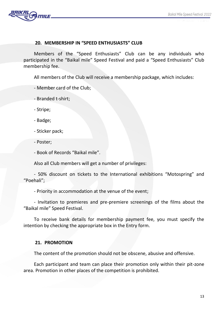

#### **20. MEMBERSHIP IN "SPEED ENTHUSIASTS" CLUB**

Members of the "Speed Enthusiasts" Club can be any individuals who participated in the "Baikal mile" Speed Festival and paid a "Speed Enthusiasts" Club membership fee.

All members of the Club will receive a membership package, which includes:

- Member card of the Club;

- Branded t-shirt;

- Stripe;

- Badge;

- Sticker pack;

- Poster;

- Book of Records "Baikal mile".

Also all Club members will get a number of privileges:

- 50% discount on tickets to the International exhibitions "Motospring" and "Poehali";

- Priority in accommodation at the venue of the event;

- Invitation to premieres and pre-premiere screenings of the films about the "Baikal mile" Speed Festival.

To receive bank details for membership payment fee, you must specify the intention by checking the appropriate box in the Entry form.

## **21. PROMOTION**

The content of the promotion should not be obscene, abusive and offensive.

Each participant and team can place their promotion only within their pit-zone area. Promotion in other places of the competition is prohibited.